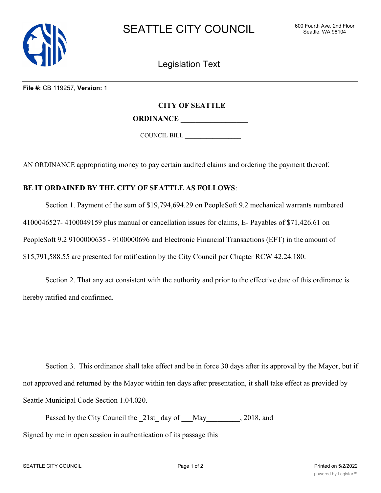

Legislation Text

**File #:** CB 119257, **Version:** 1

## **CITY OF SEATTLE**

**ORDINANCE \_\_\_\_\_\_\_\_\_\_\_\_\_\_\_\_\_\_**

COUNCIL BILL \_\_\_\_\_\_\_\_\_\_\_\_\_\_\_\_\_\_

AN ORDINANCE appropriating money to pay certain audited claims and ordering the payment thereof.

## **BE IT ORDAINED BY THE CITY OF SEATTLE AS FOLLOWS**:

Section 1. Payment of the sum of \$19,794,694.29 on PeopleSoft 9.2 mechanical warrants numbered 4100046527- 4100049159 plus manual or cancellation issues for claims, E- Payables of \$71,426.61 on PeopleSoft 9.2 9100000635 - 9100000696 and Electronic Financial Transactions (EFT) in the amount of \$15,791,588.55 are presented for ratification by the City Council per Chapter RCW 42.24.180.

Section 2. That any act consistent with the authority and prior to the effective date of this ordinance is hereby ratified and confirmed.

Section 3. This ordinance shall take effect and be in force 30 days after its approval by the Mayor, but if not approved and returned by the Mayor within ten days after presentation, it shall take effect as provided by Seattle Municipal Code Section 1.04.020.

Passed by the City Council the 21st day of May quantum 30.2018, and Signed by me in open session in authentication of its passage this